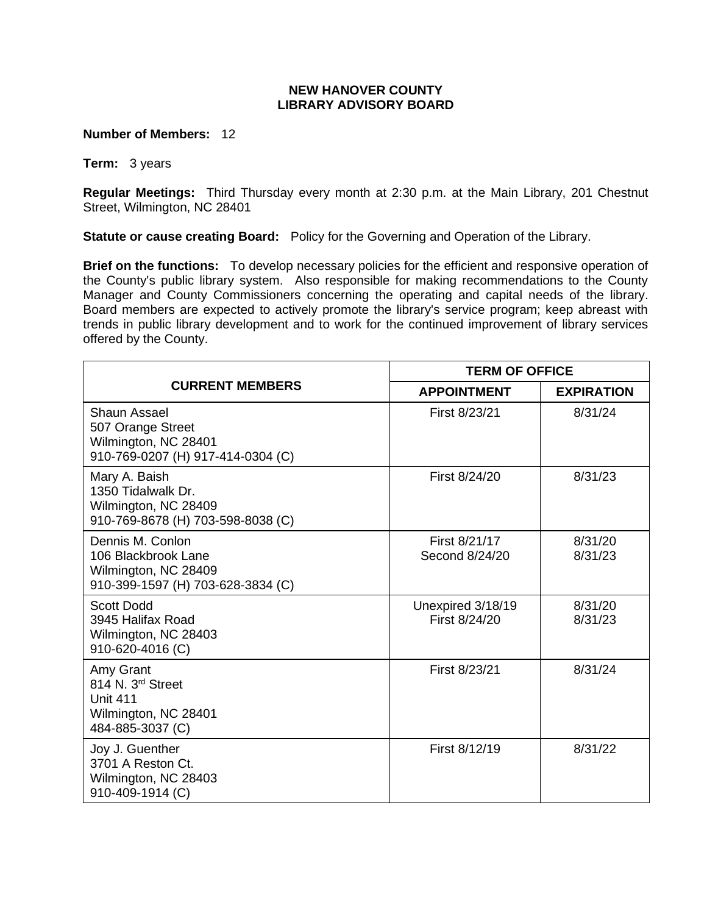## **NEW HANOVER COUNTY LIBRARY ADVISORY BOARD**

**Number of Members:** 12

**Term:** 3 years

**Regular Meetings:** Third Thursday every month at 2:30 p.m. at the Main Library, 201 Chestnut Street, Wilmington, NC 28401

**Statute or cause creating Board:** Policy for the Governing and Operation of the Library.

**Brief on the functions:** To develop necessary policies for the efficient and responsive operation of the County's public library system. Also responsible for making recommendations to the County Manager and County Commissioners concerning the operating and capital needs of the library. Board members are expected to actively promote the library's service program; keep abreast with trends in public library development and to work for the continued improvement of library services offered by the County.

| <b>CURRENT MEMBERS</b>                                                                                    | <b>TERM OF OFFICE</b>              |                    |
|-----------------------------------------------------------------------------------------------------------|------------------------------------|--------------------|
|                                                                                                           | <b>APPOINTMENT</b>                 | <b>EXPIRATION</b>  |
| Shaun Assael<br>507 Orange Street<br>Wilmington, NC 28401<br>910-769-0207 (H) 917-414-0304 (C)            | First 8/23/21                      | 8/31/24            |
| Mary A. Baish<br>1350 Tidalwalk Dr.<br>Wilmington, NC 28409<br>910-769-8678 (H) 703-598-8038 (C)          | First 8/24/20                      | 8/31/23            |
| Dennis M. Conlon<br>106 Blackbrook Lane<br>Wilmington, NC 28409<br>910-399-1597 (H) 703-628-3834 (C)      | First 8/21/17<br>Second 8/24/20    | 8/31/20<br>8/31/23 |
| <b>Scott Dodd</b><br>3945 Halifax Road<br>Wilmington, NC 28403<br>910-620-4016 (C)                        | Unexpired 3/18/19<br>First 8/24/20 | 8/31/20<br>8/31/23 |
| Amy Grant<br>814 N. 3 <sup>rd</sup> Street<br><b>Unit 411</b><br>Wilmington, NC 28401<br>484-885-3037 (C) | First 8/23/21                      | 8/31/24            |
| Joy J. Guenther<br>3701 A Reston Ct.<br>Wilmington, NC 28403<br>910-409-1914 (C)                          | First 8/12/19                      | 8/31/22            |